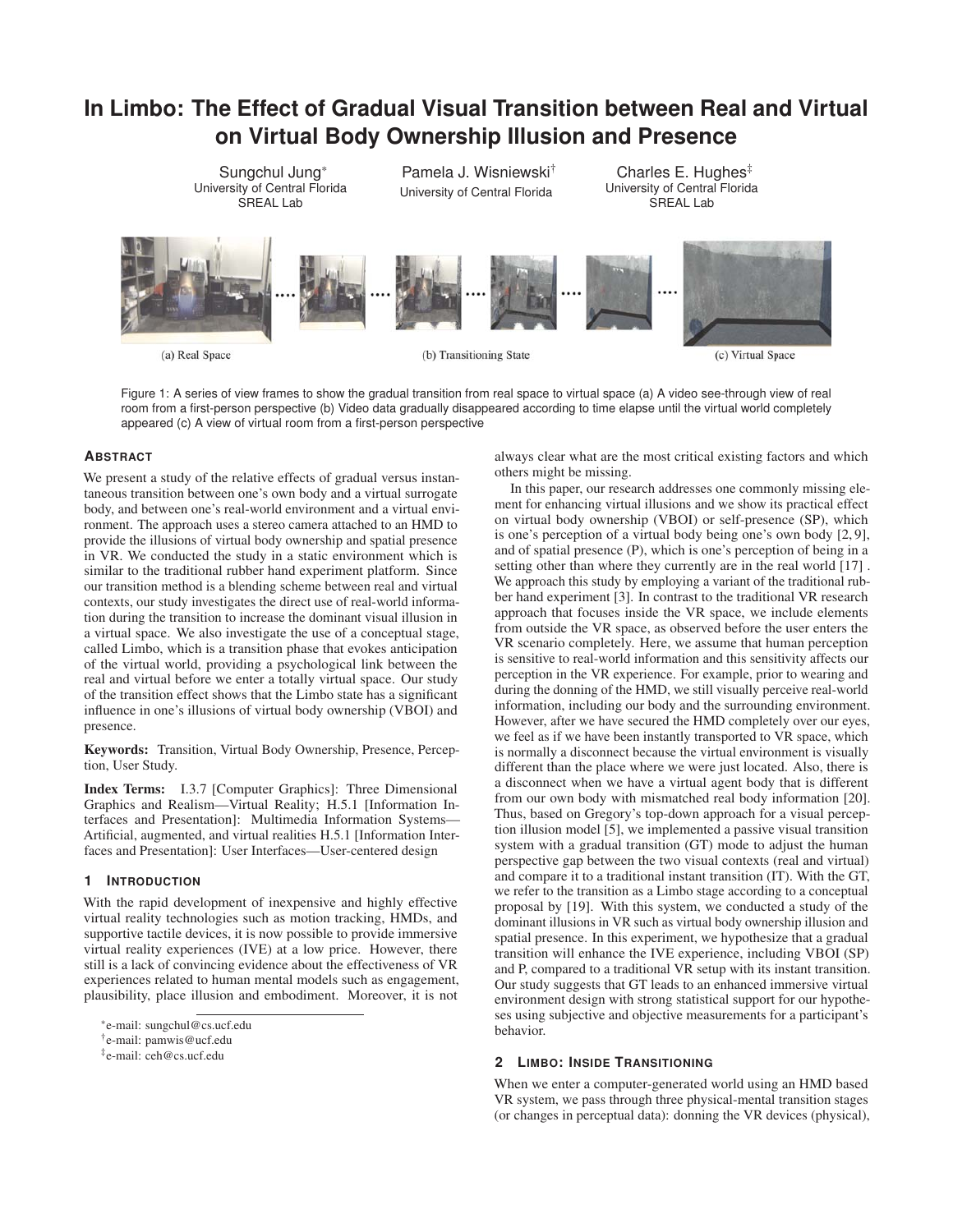# **In Limbo: The Effect of Gradual Visual Transition between Real and Virtual on Virtual Body Ownership Illusion and Presence**



Figure 1: A series of view frames to show the gradual transition from real space to virtual space (a) A video see-through view of real room from a first-person perspective (b) Video data gradually disappeared according to time elapse until the virtual world completely appeared (c) A view of virtual room from a first-person perspective

# **ABSTRACT**

We present a study of the relative effects of gradual versus instantaneous transition between one's own body and a virtual surrogate body, and between one's real-world environment and a virtual environment. The approach uses a stereo camera attached to an HMD to provide the illusions of virtual body ownership and spatial presence in VR. We conducted the study in a static environment which is similar to the traditional rubber hand experiment platform. Since our transition method is a blending scheme between real and virtual contexts, our study investigates the direct use of real-world information during the transition to increase the dominant visual illusion in a virtual space. We also investigate the use of a conceptual stage, called Limbo, which is a transition phase that evokes anticipation of the virtual world, providing a psychological link between the real and virtual before we enter a totally virtual space. Our study of the transition effect shows that the Limbo state has a significant influence in one's illusions of virtual body ownership (VBOI) and presence.

Keywords: Transition, Virtual Body Ownership, Presence, Perception, User Study.

Index Terms: I.3.7 [Computer Graphics]: Three Dimensional Graphics and Realism—Virtual Reality; H.5.1 [Information Interfaces and Presentation]: Multimedia Information Systems— Artificial, augmented, and virtual realities H.5.1 [Information Interfaces and Presentation]: User Interfaces—User-centered design

# **1 INTRODUCTION**

With the rapid development of inexpensive and highly effective virtual reality technologies such as motion tracking, HMDs, and supportive tactile devices, it is now possible to provide immersive virtual reality experiences (IVE) at a low price. However, there still is a lack of convincing evidence about the effectiveness of VR experiences related to human mental models such as engagement, plausibility, place illusion and embodiment. Moreover, it is not

always clear what are the most critical existing factors and which others might be missing.

In this paper, our research addresses one commonly missing element for enhancing virtual illusions and we show its practical effect on virtual body ownership (VBOI) or self-presence (SP), which is one's perception of a virtual body being one's own body [2, 9], and of spatial presence (P), which is one's perception of being in a setting other than where they currently are in the real world [17] . We approach this study by employing a variant of the traditional rubber hand experiment [3]. In contrast to the traditional VR research approach that focuses inside the VR space, we include elements from outside the VR space, as observed before the user enters the VR scenario completely. Here, we assume that human perception is sensitive to real-world information and this sensitivity affects our perception in the VR experience. For example, prior to wearing and during the donning of the HMD, we still visually perceive real-world information, including our body and the surrounding environment. However, after we have secured the HMD completely over our eyes, we feel as if we have been instantly transported to VR space, which is normally a disconnect because the virtual environment is visually different than the place where we were just located. Also, there is a disconnect when we have a virtual agent body that is different from our own body with mismatched real body information [20]. Thus, based on Gregory's top-down approach for a visual perception illusion model [5], we implemented a passive visual transition system with a gradual transition (GT) mode to adjust the human perspective gap between the two visual contexts (real and virtual) and compare it to a traditional instant transition (IT). With the GT, we refer to the transition as a Limbo stage according to a conceptual proposal by [19]. With this system, we conducted a study of the dominant illusions in VR such as virtual body ownership illusion and spatial presence. In this experiment, we hypothesize that a gradual transition will enhance the IVE experience, including VBOI (SP) and P, compared to a traditional VR setup with its instant transition. Our study suggests that GT leads to an enhanced immersive virtual environment design with strong statistical support for our hypotheses using subjective and objective measurements for a participant's behavior.

## **2 LIMBO: INSIDE TRANSITIONING**

When we enter a computer-generated world using an HMD based VR system, we pass through three physical-mental transition stages (or changes in perceptual data): donning the VR devices (physical),

<sup>\*</sup>e-mail: sungchul@cs.ucf.edu

<sup>†</sup>e-mail: pamwis@ucf.edu

<sup>‡</sup>e-mail: ceh@cs.ucf.edu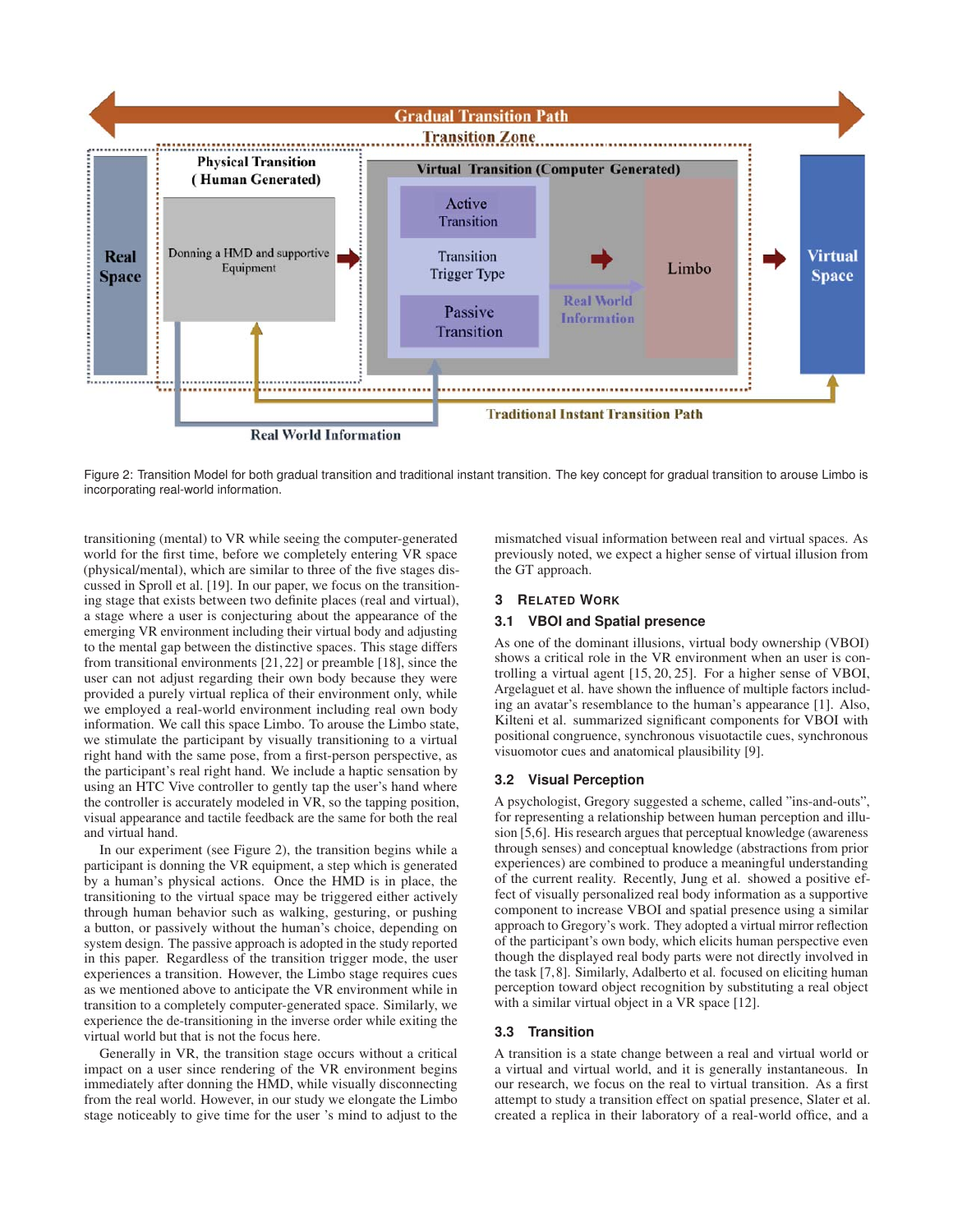

Figure 2: Transition Model for both gradual transition and traditional instant transition. The key concept for gradual transition to arouse Limbo is incorporating real-world information.

transitioning (mental) to VR while seeing the computer-generated world for the first time, before we completely entering VR space (physical/mental), which are similar to three of the five stages discussed in Sproll et al. [19]. In our paper, we focus on the transitioning stage that exists between two definite places (real and virtual), a stage where a user is conjecturing about the appearance of the emerging VR environment including their virtual body and adjusting to the mental gap between the distinctive spaces. This stage differs from transitional environments [21, 22] or preamble [18], since the user can not adjust regarding their own body because they were provided a purely virtual replica of their environment only, while we employed a real-world environment including real own body information. We call this space Limbo. To arouse the Limbo state, we stimulate the participant by visually transitioning to a virtual right hand with the same pose, from a first-person perspective, as the participant's real right hand. We include a haptic sensation by using an HTC Vive controller to gently tap the user's hand where the controller is accurately modeled in VR, so the tapping position, visual appearance and tactile feedback are the same for both the real and virtual hand.

In our experiment (see Figure 2), the transition begins while a participant is donning the VR equipment, a step which is generated by a human's physical actions. Once the HMD is in place, the transitioning to the virtual space may be triggered either actively through human behavior such as walking, gesturing, or pushing a button, or passively without the human's choice, depending on system design. The passive approach is adopted in the study reported in this paper. Regardless of the transition trigger mode, the user experiences a transition. However, the Limbo stage requires cues as we mentioned above to anticipate the VR environment while in transition to a completely computer-generated space. Similarly, we experience the de-transitioning in the inverse order while exiting the virtual world but that is not the focus here.

Generally in VR, the transition stage occurs without a critical impact on a user since rendering of the VR environment begins immediately after donning the HMD, while visually disconnecting from the real world. However, in our study we elongate the Limbo stage noticeably to give time for the user 's mind to adjust to the

mismatched visual information between real and virtual spaces. As previously noted, we expect a higher sense of virtual illusion from the GT approach.

# **3 RELATED WORK**

# **3.1 VBOI and Spatial presence**

As one of the dominant illusions, virtual body ownership (VBOI) shows a critical role in the VR environment when an user is controlling a virtual agent [15, 20, 25]. For a higher sense of VBOI, Argelaguet et al. have shown the influence of multiple factors including an avatar's resemblance to the human's appearance [1]. Also, Kilteni et al. summarized significant components for VBOI with positional congruence, synchronous visuotactile cues, synchronous visuomotor cues and anatomical plausibility [9].

# **3.2 Visual Perception**

A psychologist, Gregory suggested a scheme, called "ins-and-outs", for representing a relationship between human perception and illusion [5,6]. His research argues that perceptual knowledge (awareness through senses) and conceptual knowledge (abstractions from prior experiences) are combined to produce a meaningful understanding of the current reality. Recently, Jung et al. showed a positive effect of visually personalized real body information as a supportive component to increase VBOI and spatial presence using a similar approach to Gregory's work. They adopted a virtual mirror reflection of the participant's own body, which elicits human perspective even though the displayed real body parts were not directly involved in the task [7, 8]. Similarly, Adalberto et al. focused on eliciting human perception toward object recognition by substituting a real object with a similar virtual object in a VR space [12].

## **3.3 Transition**

A transition is a state change between a real and virtual world or a virtual and virtual world, and it is generally instantaneous. In our research, we focus on the real to virtual transition. As a first attempt to study a transition effect on spatial presence, Slater et al. created a replica in their laboratory of a real-world office, and a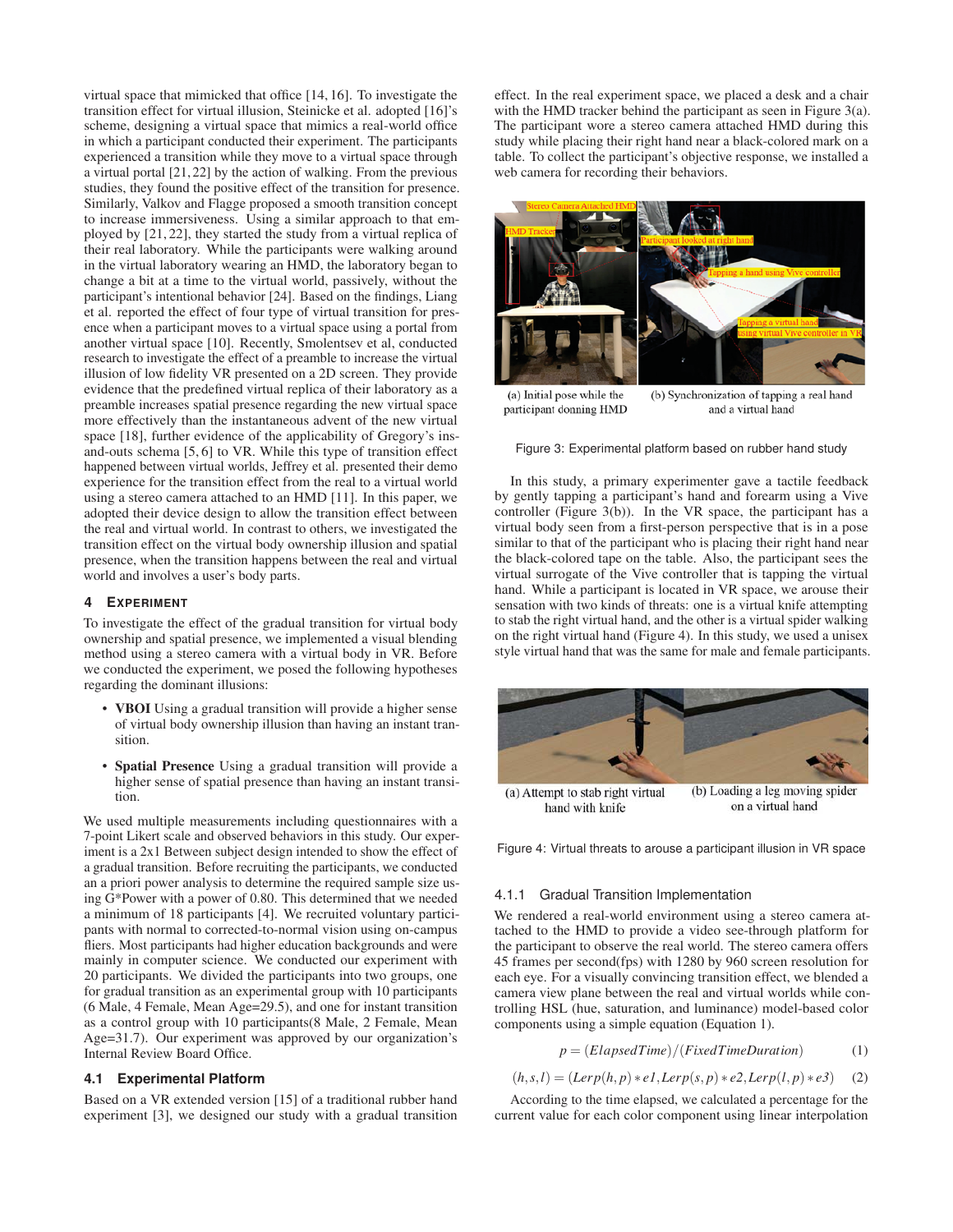virtual space that mimicked that office [14, 16]. To investigate the transition effect for virtual illusion, Steinicke et al. adopted [16]'s scheme, designing a virtual space that mimics a real-world office in which a participant conducted their experiment. The participants experienced a transition while they move to a virtual space through a virtual portal [21, 22] by the action of walking. From the previous studies, they found the positive effect of the transition for presence. Similarly, Valkov and Flagge proposed a smooth transition concept to increase immersiveness. Using a similar approach to that employed by [21, 22], they started the study from a virtual replica of their real laboratory. While the participants were walking around in the virtual laboratory wearing an HMD, the laboratory began to change a bit at a time to the virtual world, passively, without the participant's intentional behavior [24]. Based on the findings, Liang et al. reported the effect of four type of virtual transition for presence when a participant moves to a virtual space using a portal from another virtual space [10]. Recently, Smolentsev et al, conducted research to investigate the effect of a preamble to increase the virtual illusion of low fidelity VR presented on a 2D screen. They provide evidence that the predefined virtual replica of their laboratory as a preamble increases spatial presence regarding the new virtual space more effectively than the instantaneous advent of the new virtual space [18], further evidence of the applicability of Gregory's insand-outs schema [5, 6] to VR. While this type of transition effect happened between virtual worlds, Jeffrey et al. presented their demo experience for the transition effect from the real to a virtual world using a stereo camera attached to an HMD [11]. In this paper, we adopted their device design to allow the transition effect between the real and virtual world. In contrast to others, we investigated the transition effect on the virtual body ownership illusion and spatial presence, when the transition happens between the real and virtual world and involves a user's body parts.

## **4 EXPERIMENT**

To investigate the effect of the gradual transition for virtual body ownership and spatial presence, we implemented a visual blending method using a stereo camera with a virtual body in VR. Before we conducted the experiment, we posed the following hypotheses regarding the dominant illusions:

- VBOI Using a gradual transition will provide a higher sense of virtual body ownership illusion than having an instant transition.
- Spatial Presence Using a gradual transition will provide a higher sense of spatial presence than having an instant transition.

We used multiple measurements including questionnaires with a 7-point Likert scale and observed behaviors in this study. Our experiment is a 2x1 Between subject design intended to show the effect of a gradual transition. Before recruiting the participants, we conducted an a priori power analysis to determine the required sample size using G\*Power with a power of 0.80. This determined that we needed a minimum of 18 participants [4]. We recruited voluntary participants with normal to corrected-to-normal vision using on-campus fliers. Most participants had higher education backgrounds and were mainly in computer science. We conducted our experiment with 20 participants. We divided the participants into two groups, one for gradual transition as an experimental group with 10 participants (6 Male, 4 Female, Mean Age=29.5), and one for instant transition as a control group with 10 participants(8 Male, 2 Female, Mean Age=31.7). Our experiment was approved by our organization's Internal Review Board Office.

## **4.1 Experimental Platform**

Based on a VR extended version [15] of a traditional rubber hand experiment [3], we designed our study with a gradual transition

effect. In the real experiment space, we placed a desk and a chair with the HMD tracker behind the participant as seen in Figure 3(a). The participant wore a stereo camera attached HMD during this study while placing their right hand near a black-colored mark on a table. To collect the participant's objective response, we installed a web camera for recording their behaviors.



(a) Initial pose while the (b) Synchronization of tapping a real hand participant donning HMD and a virtual hand

Figure 3: Experimental platform based on rubber hand study

In this study, a primary experimenter gave a tactile feedback by gently tapping a participant's hand and forearm using a Vive controller (Figure 3(b)). In the VR space, the participant has a virtual body seen from a first-person perspective that is in a pose similar to that of the participant who is placing their right hand near the black-colored tape on the table. Also, the participant sees the virtual surrogate of the Vive controller that is tapping the virtual hand. While a participant is located in VR space, we arouse their sensation with two kinds of threats: one is a virtual knife attempting to stab the right virtual hand, and the other is a virtual spider walking on the right virtual hand (Figure 4). In this study, we used a unisex style virtual hand that was the same for male and female participants.



Figure 4: Virtual threats to arouse a participant illusion in VR space

#### 4.1.1 Gradual Transition Implementation

We rendered a real-world environment using a stereo camera attached to the HMD to provide a video see-through platform for the participant to observe the real world. The stereo camera offers 45 frames per second(fps) with 1280 by 960 screen resolution for each eye. For a visually convincing transition effect, we blended a camera view plane between the real and virtual worlds while controlling HSL (hue, saturation, and luminance) model-based color components using a simple equation (Equation 1).

$$
p = (ElapsedTime)/(FixedTimeDuration)
$$
 (1)

$$
(h,s,l) = (Lerp(h,p) * e1, Lerp(s,p) * e2, Lerp(l,p) * e3)
$$
 (2)

According to the time elapsed, we calculated a percentage for the current value for each color component using linear interpolation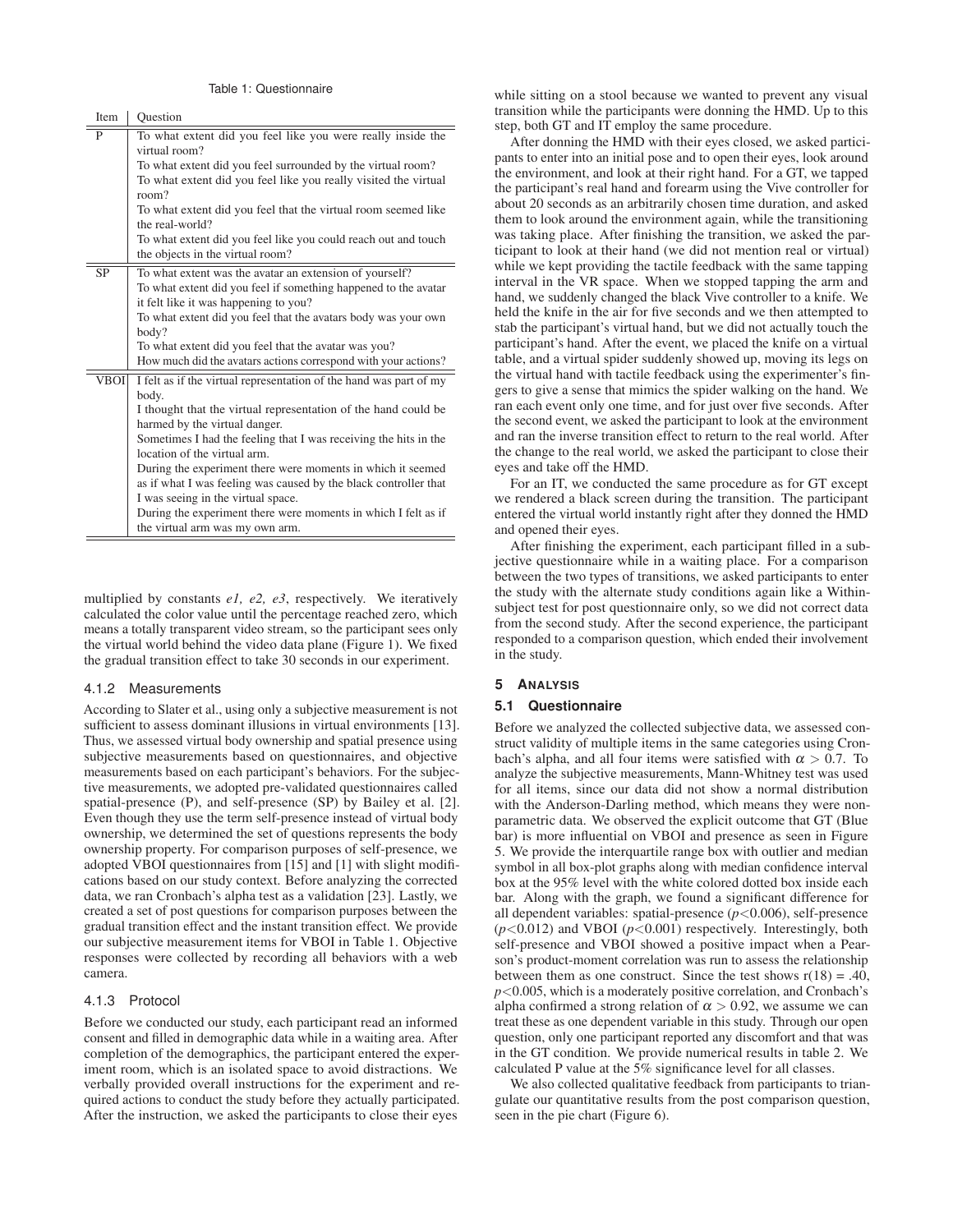#### Table 1: Questionnaire

| Item      | Ouestion                                                           |  |  |  |
|-----------|--------------------------------------------------------------------|--|--|--|
| P         | To what extent did you feel like you were really inside the        |  |  |  |
|           | virtual room?                                                      |  |  |  |
|           | To what extent did you feel surrounded by the virtual room?        |  |  |  |
|           | To what extent did you feel like you really visited the virtual    |  |  |  |
|           | room?                                                              |  |  |  |
|           | To what extent did you feel that the virtual room seemed like      |  |  |  |
|           | the real-world?                                                    |  |  |  |
|           | To what extent did you feel like you could reach out and touch     |  |  |  |
|           | the objects in the virtual room?                                   |  |  |  |
| <b>SP</b> | To what extent was the avatar an extension of yourself?            |  |  |  |
|           | To what extent did you feel if something happened to the avatar    |  |  |  |
|           | it felt like it was happening to you?                              |  |  |  |
|           | To what extent did you feel that the avatars body was your own     |  |  |  |
|           | body?                                                              |  |  |  |
|           | To what extent did you feel that the avatar was you?               |  |  |  |
|           | How much did the avatars actions correspond with your actions?     |  |  |  |
| VBOI      | I felt as if the virtual representation of the hand was part of my |  |  |  |
|           | body.                                                              |  |  |  |
|           | I thought that the virtual representation of the hand could be     |  |  |  |
|           | harmed by the virtual danger.                                      |  |  |  |
|           | Sometimes I had the feeling that I was receiving the hits in the   |  |  |  |
|           | location of the virtual arm.                                       |  |  |  |
|           | During the experiment there were moments in which it seemed        |  |  |  |
|           | as if what I was feeling was caused by the black controller that   |  |  |  |
|           | I was seeing in the virtual space.                                 |  |  |  |
|           | During the experiment there were moments in which I felt as if     |  |  |  |
|           | the virtual arm was my own arm.                                    |  |  |  |

multiplied by constants *e1, e2, e3*, respectively. We iteratively calculated the color value until the percentage reached zero, which means a totally transparent video stream, so the participant sees only the virtual world behind the video data plane (Figure 1). We fixed the gradual transition effect to take 30 seconds in our experiment.

## 4.1.2 Measurements

According to Slater et al., using only a subjective measurement is not sufficient to assess dominant illusions in virtual environments [13]. Thus, we assessed virtual body ownership and spatial presence using subjective measurements based on questionnaires, and objective measurements based on each participant's behaviors. For the subjective measurements, we adopted pre-validated questionnaires called spatial-presence (P), and self-presence (SP) by Bailey et al. [2]. Even though they use the term self-presence instead of virtual body ownership, we determined the set of questions represents the body ownership property. For comparison purposes of self-presence, we adopted VBOI questionnaires from [15] and [1] with slight modifications based on our study context. Before analyzing the corrected data, we ran Cronbach's alpha test as a validation [23]. Lastly, we created a set of post questions for comparison purposes between the gradual transition effect and the instant transition effect. We provide our subjective measurement items for VBOI in Table 1. Objective responses were collected by recording all behaviors with a web camera.

# 4.1.3 Protocol

Before we conducted our study, each participant read an informed consent and filled in demographic data while in a waiting area. After completion of the demographics, the participant entered the experiment room, which is an isolated space to avoid distractions. We verbally provided overall instructions for the experiment and required actions to conduct the study before they actually participated. After the instruction, we asked the participants to close their eyes

while sitting on a stool because we wanted to prevent any visual transition while the participants were donning the HMD. Up to this step, both GT and IT employ the same procedure.

After donning the HMD with their eyes closed, we asked participants to enter into an initial pose and to open their eyes, look around the environment, and look at their right hand. For a GT, we tapped the participant's real hand and forearm using the Vive controller for about 20 seconds as an arbitrarily chosen time duration, and asked them to look around the environment again, while the transitioning was taking place. After finishing the transition, we asked the participant to look at their hand (we did not mention real or virtual) while we kept providing the tactile feedback with the same tapping interval in the VR space. When we stopped tapping the arm and hand, we suddenly changed the black Vive controller to a knife. We held the knife in the air for five seconds and we then attempted to stab the participant's virtual hand, but we did not actually touch the participant's hand. After the event, we placed the knife on a virtual table, and a virtual spider suddenly showed up, moving its legs on the virtual hand with tactile feedback using the experimenter's fingers to give a sense that mimics the spider walking on the hand. We ran each event only one time, and for just over five seconds. After the second event, we asked the participant to look at the environment and ran the inverse transition effect to return to the real world. After the change to the real world, we asked the participant to close their eyes and take off the HMD.

For an IT, we conducted the same procedure as for GT except we rendered a black screen during the transition. The participant entered the virtual world instantly right after they donned the HMD and opened their eyes.

After finishing the experiment, each participant filled in a subjective questionnaire while in a waiting place. For a comparison between the two types of transitions, we asked participants to enter the study with the alternate study conditions again like a Withinsubject test for post questionnaire only, so we did not correct data from the second study. After the second experience, the participant responded to a comparison question, which ended their involvement in the study.

# **5 ANALYSIS**

# **5.1 Questionnaire**

Before we analyzed the collected subjective data, we assessed construct validity of multiple items in the same categories using Cronbach's alpha, and all four items were satisfied with  $\alpha > 0.7$ . To analyze the subjective measurements, Mann-Whitney test was used for all items, since our data did not show a normal distribution with the Anderson-Darling method, which means they were nonparametric data. We observed the explicit outcome that GT (Blue bar) is more influential on VBOI and presence as seen in Figure 5. We provide the interquartile range box with outlier and median symbol in all box-plot graphs along with median confidence interval box at the 95% level with the white colored dotted box inside each bar. Along with the graph, we found a significant difference for all dependent variables: spatial-presence (*p*<0.006), self-presence (*p*<0.012) and VBOI (*p*<0.001) respectively. Interestingly, both self-presence and VBOI showed a positive impact when a Pearson's product-moment correlation was run to assess the relationship between them as one construct. Since the test shows  $r(18) = .40$ ,  $p$ <0.005, which is a moderately positive correlation, and Cronbach's alpha confirmed a strong relation of  $\alpha > 0.92$ , we assume we can treat these as one dependent variable in this study. Through our open question, only one participant reported any discomfort and that was in the GT condition. We provide numerical results in table 2. We calculated P value at the 5% significance level for all classes.

We also collected qualitative feedback from participants to triangulate our quantitative results from the post comparison question, seen in the pie chart (Figure 6).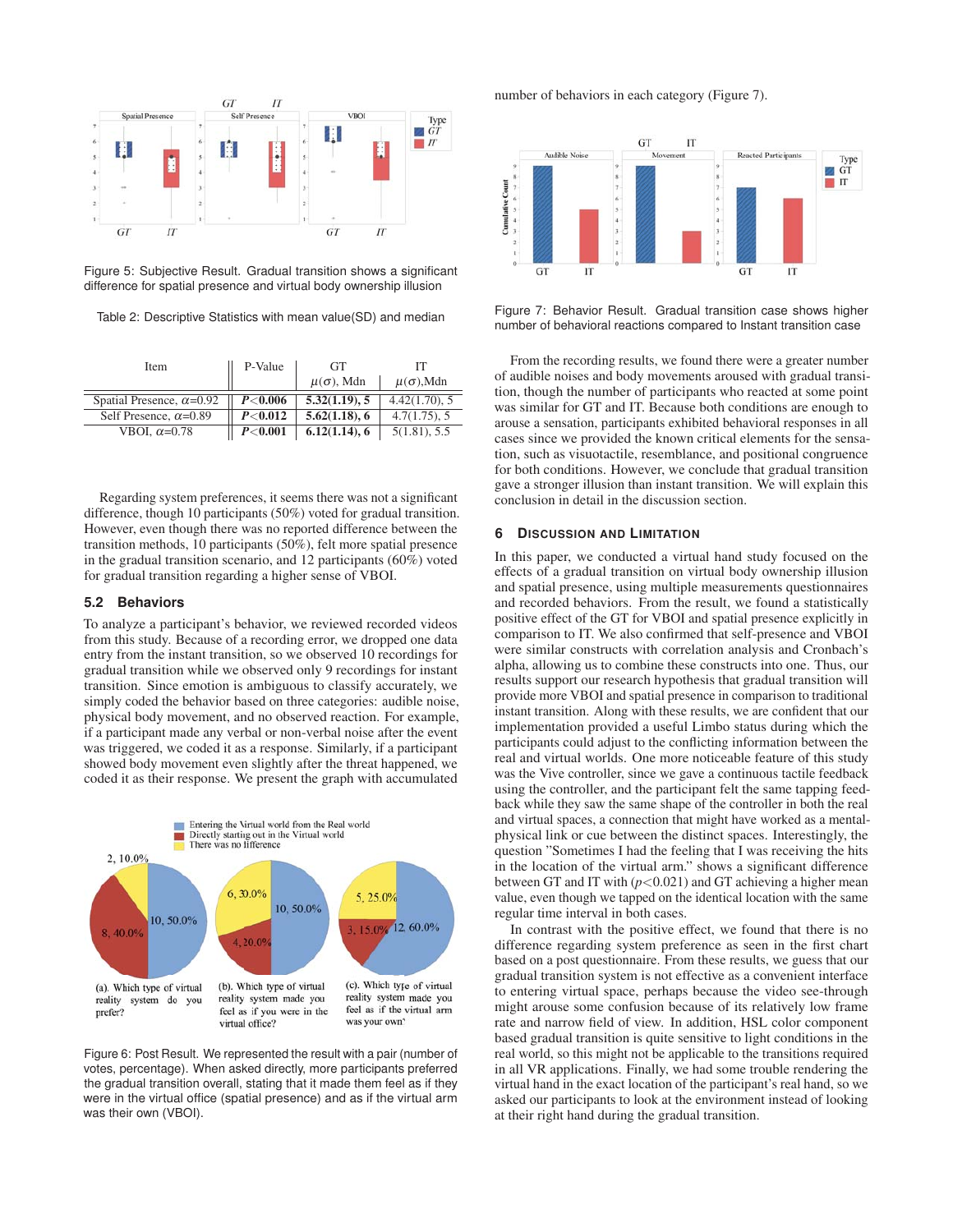

Figure 5: Subjective Result. Gradual transition shows a significant difference for spatial presence and virtual body ownership illusion

Table 2: Descriptive Statistics with mean value(SD) and median

| Item                             | P-Value   | <b>GT</b>           | TГ                 |
|----------------------------------|-----------|---------------------|--------------------|
|                                  |           | $\mu(\sigma)$ , Mdn | $\mu(\sigma)$ ,Mdn |
| Spatial Presence, $\alpha$ =0.92 | P < 0.006 | 5.32(1.19), 5       | 4.42(1.70), 5      |
| Self Presence, $\alpha$ =0.89    | P < 0.012 | 5.62(1.18), 6       | 4.7(1.75), 5       |
| VBOI, $\alpha$ =0.78             | P < 0.001 | 6.12(1.14), 6       | 5(1.81), 5.5       |

Regarding system preferences, it seems there was not a significant difference, though 10 participants (50%) voted for gradual transition. However, even though there was no reported difference between the transition methods, 10 participants (50%), felt more spatial presence in the gradual transition scenario, and 12 participants (60%) voted for gradual transition regarding a higher sense of VBOI.

## **5.2 Behaviors**

To analyze a participant's behavior, we reviewed recorded videos from this study. Because of a recording error, we dropped one data entry from the instant transition, so we observed 10 recordings for gradual transition while we observed only 9 recordings for instant transition. Since emotion is ambiguous to classify accurately, we simply coded the behavior based on three categories: audible noise, physical body movement, and no observed reaction. For example, if a participant made any verbal or non-verbal noise after the event was triggered, we coded it as a response. Similarly, if a participant showed body movement even slightly after the threat happened, we coded it as their response. We present the graph with accumulated



Figure 6: Post Result. We represented the result with a pair (number of votes, percentage). When asked directly, more participants preferred the gradual transition overall, stating that it made them feel as if they were in the virtual office (spatial presence) and as if the virtual arm was their own (VBOI).

number of behaviors in each category (Figure 7).



Figure 7: Behavior Result. Gradual transition case shows higher number of behavioral reactions compared to Instant transition case

From the recording results, we found there were a greater number of audible noises and body movements aroused with gradual transition, though the number of participants who reacted at some point was similar for GT and IT. Because both conditions are enough to arouse a sensation, participants exhibited behavioral responses in all cases since we provided the known critical elements for the sensation, such as visuotactile, resemblance, and positional congruence for both conditions. However, we conclude that gradual transition gave a stronger illusion than instant transition. We will explain this conclusion in detail in the discussion section.

### **6 DISCUSSION AND LIMITATION**

In this paper, we conducted a virtual hand study focused on the effects of a gradual transition on virtual body ownership illusion and spatial presence, using multiple measurements questionnaires and recorded behaviors. From the result, we found a statistically positive effect of the GT for VBOI and spatial presence explicitly in comparison to IT. We also confirmed that self-presence and VBOI were similar constructs with correlation analysis and Cronbach's alpha, allowing us to combine these constructs into one. Thus, our results support our research hypothesis that gradual transition will provide more VBOI and spatial presence in comparison to traditional instant transition. Along with these results, we are confident that our implementation provided a useful Limbo status during which the participants could adjust to the conflicting information between the real and virtual worlds. One more noticeable feature of this study was the Vive controller, since we gave a continuous tactile feedback using the controller, and the participant felt the same tapping feedback while they saw the same shape of the controller in both the real and virtual spaces, a connection that might have worked as a mentalphysical link or cue between the distinct spaces. Interestingly, the question "Sometimes I had the feeling that I was receiving the hits in the location of the virtual arm." shows a significant difference between GT and IT with  $(p<0.021)$  and GT achieving a higher mean value, even though we tapped on the identical location with the same regular time interval in both cases.

In contrast with the positive effect, we found that there is no difference regarding system preference as seen in the first chart based on a post questionnaire. From these results, we guess that our gradual transition system is not effective as a convenient interface to entering virtual space, perhaps because the video see-through might arouse some confusion because of its relatively low frame rate and narrow field of view. In addition, HSL color component based gradual transition is quite sensitive to light conditions in the real world, so this might not be applicable to the transitions required in all VR applications. Finally, we had some trouble rendering the virtual hand in the exact location of the participant's real hand, so we asked our participants to look at the environment instead of looking at their right hand during the gradual transition.